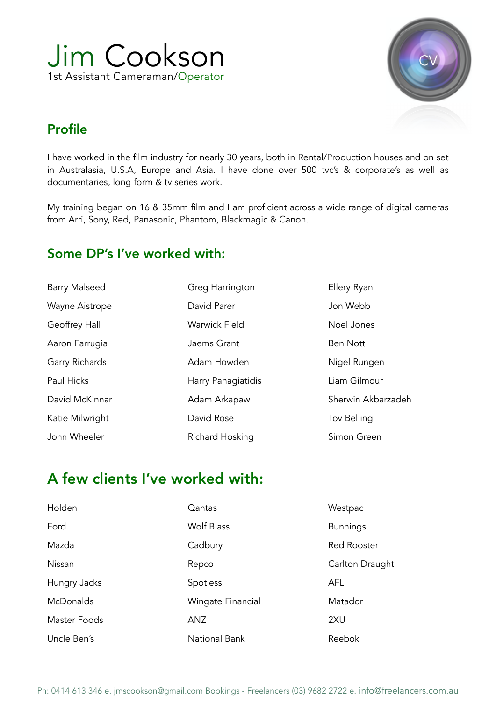



#### Profile

I have worked in the film industry for nearly 30 years, both in Rental/Production houses and on set in Australasia, U.S.A, Europe and Asia. I have done over 500 tvc's & corporate's as well as documentaries, long form & tv series work.

My training began on 16 & 35mm film and I am proficient across a wide range of digital cameras from Arri, Sony, Red, Panasonic, Phantom, Blackmagic & Canon.

#### Some DP's I've worked with:

| <b>Barry Malseed</b> | Greg Harrington      | Ellery Ryan        |
|----------------------|----------------------|--------------------|
| Wayne Aistrope       | David Parer          | Jon Webb           |
| Geoffrey Hall        | <b>Warwick Field</b> | Noel Jones         |
| Aaron Farrugia       | Jaems Grant          | <b>Ben Nott</b>    |
| Garry Richards       | Adam Howden          | Nigel Rungen       |
| <b>Paul Hicks</b>    | Harry Panagiatidis   | Liam Gilmour       |
| David McKinnar       | Adam Arkapaw         | Sherwin Akbarzadeh |
| Katie Milwright      | David Rose           | Tov Belling        |
| John Wheeler         | Richard Hosking      | Simon Green        |

# A few clients I've worked with:

| Holden           | Qantas            | Westpac            |
|------------------|-------------------|--------------------|
| Ford             | <b>Wolf Blass</b> | <b>Bunnings</b>    |
| Mazda            | Cadbury           | <b>Red Rooster</b> |
| Nissan           | Repco             | Carlton Draught    |
| Hungry Jacks     | Spotless          | <b>AFL</b>         |
| <b>McDonalds</b> | Wingate Financial | Matador            |
| Master Foods     | ANZ               | 2XU                |
| Uncle Ben's      | National Bank     | Reebok             |